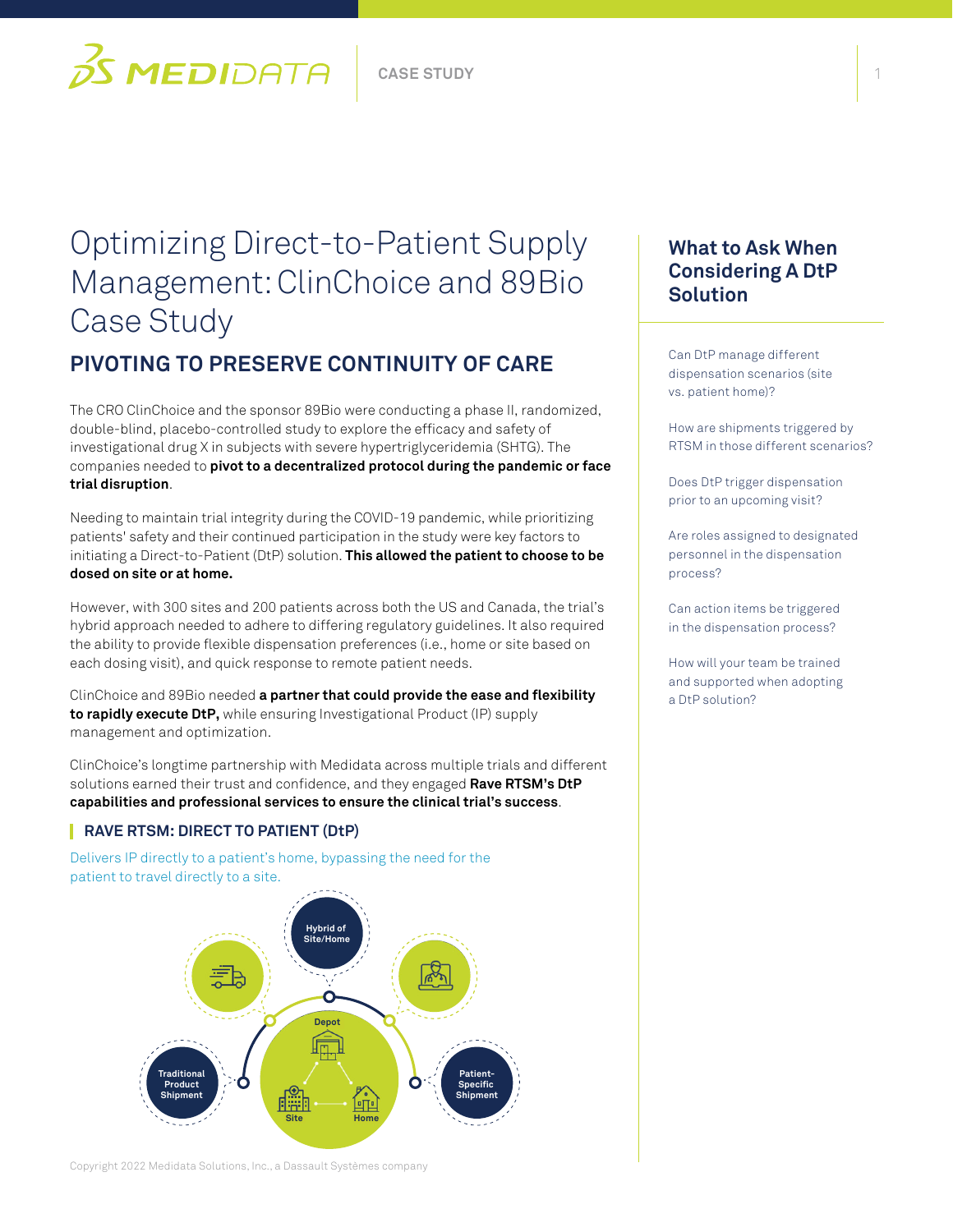# Optimizing Direct-to-Patient Supply Management:ClinChoice and 89Bio Case Study

### **PIVOTING TO PRESERVE CONTINUITY OF CARE**

The CRO ClinChoice and the sponsor 89Bio were conducting a phase II, randomized, double-blind, placebo-controlled study to explore the efficacy and safety of investigational drug X in subjects with severe hypertriglyceridemia (SHTG). The companies needed to **pivot to a decentralized protocol during the pandemic or face trial disruption**.

Needing to maintain trial integrity during the COVID-19 pandemic, while prioritizing patients' safety and their continued participation in the study were key factors to initiating a Direct-to-Patient (DtP) solution. **This allowed the patient to choose to be dosed on site or at home.**

However, with 300 sites and 200 patients across both the US and Canada, the trial's hybrid approach needed to adhere to differing regulatory guidelines. It also required the ability to provide flexible dispensation preferences (i.e., home or site based on each dosing visit), and quick response to remote patient needs.

ClinChoice and 89Bio needed **a partner that could provide the ease and flexibility to rapidly execute DtP,** while ensuring Investigational Product (IP) supply management and optimization.

ClinChoice's longtime partnership with Medidata across multiple trials and different solutions earned their trust and confidence, and they engaged **Rave RTSM's DtP capabilities and professional services to ensure the clinical trial's success**.

#### **RAVE RTSM: DIRECT TO PATIENT (DtP)**

 $35$  MEDIDATA

Delivers IP directly to a patient's home, bypassing the need for the patient to travel directly to a site.



Copyright 2022 Medidata Solutions, Inc., a Dassault Systèmes company

### **What to Ask When Considering A DtP Solution**

Can DtP manage different dispensation scenarios (site vs. patient home)?

How are shipments triggered by RTSM in those different scenarios?

Does DtP trigger dispensation prior to an upcoming visit?

Are roles assigned to designated personnel in the dispensation process?

Can action items be triggered in the dispensation process?

How will your team be trained and supported when adopting a DtP solution?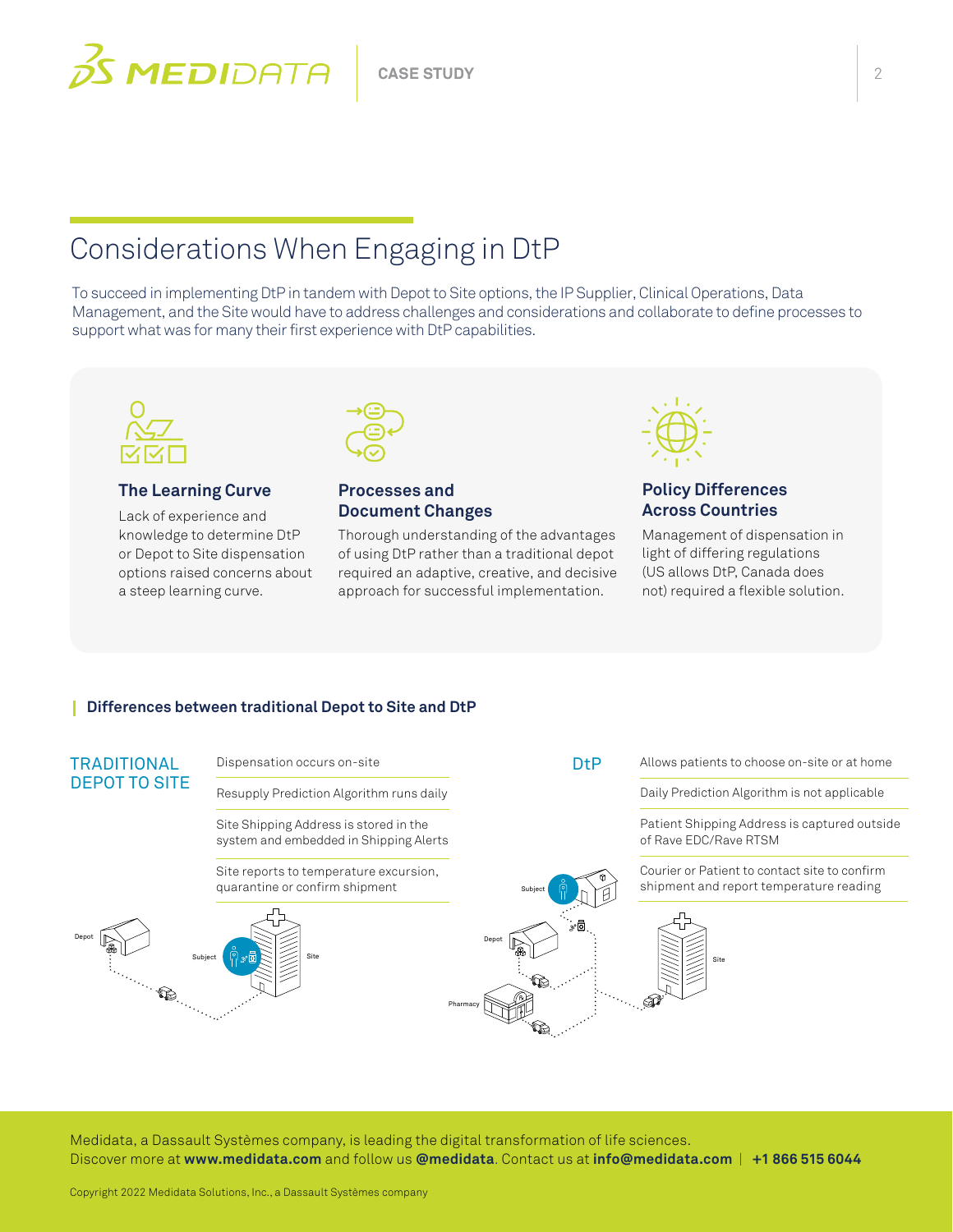

# Considerations When Engaging in DtP

To succeed in implementing DtP in tandem with Depot to Site options, the IP Supplier, Clinical Operations, Data Management, and the Site would have to address challenges and considerations and collaborate to define processes to support what was for many their first experience with DtP capabilities.



#### **The Learning Curve**

Lack of experience and knowledge to determine DtP or Depot to Site dispensation options raised concerns about a steep learning curve.



#### **Processes and Document Changes**

Thorough understanding of the advantages of using DtP rather than a traditional depot required an adaptive, creative, and decisive approach for successful implementation.



#### **Policy Differences Across Countries**

Management of dispensation in light of differing regulations (US allows DtP, Canada does not) required a flexible solution.

#### **Differences between traditional Depot to Site and DtP**



 $\bm{\mathsf{D}}$ iscover more at **www.medidata.com** and follow us **@medidata**. Contact us at **info@medidata.com | +1 866 515 6044** Medidata, a Dassault Systèmes company, is leading the digital transformation of life sciences.